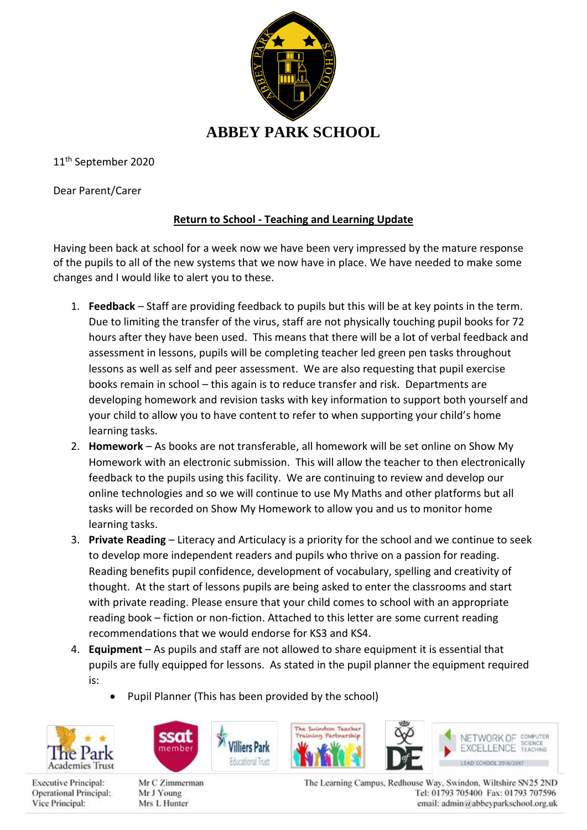

11th September 2020

Dear Parent/Carer

## **Return to School - Teaching and Learning Update**

Having been back at school for a week now we have been very impressed by the mature response of the pupils to all of the new systems that we now have in place. We have needed to make some changes and I would like to alert you to these.

- 1. **Feedback**  Staff are providing feedback to pupils but this will be at key points in the term. Due to limiting the transfer of the virus, staff are not physically touching pupil books for 72 hours after they have been used. This means that there will be a lot of verbal feedback and assessment in lessons, pupils will be completing teacher led green pen tasks throughout lessons as well as self and peer assessment. We are also requesting that pupil exercise books remain in school – this again is to reduce transfer and risk. Departments are developing homework and revision tasks with key information to support both yourself and your child to allow you to have content to refer to when supporting your child's home learning tasks.
- 2. **Homework** As books are not transferable, all homework will be set online on Show My Homework with an electronic submission. This will allow the teacher to then electronically feedback to the pupils using this facility. We are continuing to review and develop our online technologies and so we will continue to use My Maths and other platforms but all tasks will be recorded on Show My Homework to allow you and us to monitor home learning tasks.
- 3. **Private Reading** Literacy and Articulacy is a priority for the school and we continue to seek to develop more independent readers and pupils who thrive on a passion for reading. Reading benefits pupil confidence, development of vocabulary, spelling and creativity of thought. At the start of lessons pupils are being asked to enter the classrooms and start with private reading. Please ensure that your child comes to school with an appropriate reading book – fiction or non-fiction. Attached to this letter are some current reading recommendations that we would endorse for KS3 and KS4.
- 4. **Equipment** As pupils and staff are not allowed to share equipment it is essential that pupils are fully equipped for lessons. As stated in the pupil planner the equipment required is:
	- Pupil Planner (This has been provided by the school)

illiers Park



**Executive Principal:** 

Vice Principal:

Operational Principal:



Mr C Zimmerman Mr J Young Mrs L Hunter

The Suindon Teacher Ling Partmership



The Learning Campus, Redhouse Way, Swindon, Wiltshire SN25 2ND Tel: 01793 705400 Fax: 01793 707596 email: admin@abbeyparkschool.org.uk